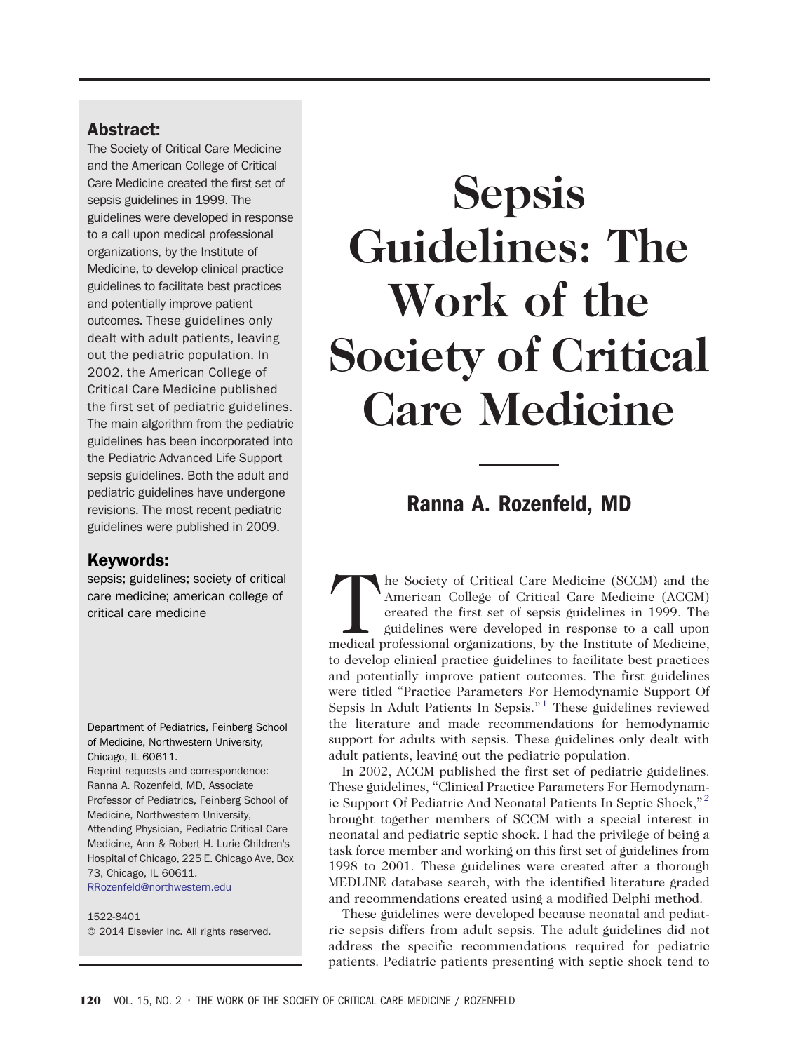### Abstract:

The Society of Critical Care Medicine and the American College of Critical Care Medicine created the first set of sepsis guidelines in 1999. The guidelines were developed in response to a call upon medical professional organizations, by the Institute of Medicine, to develop clinical practice guidelines to facilitate best practices and potentially improve patient outcomes. These guidelines only dealt with adult patients, leaving out the pediatric population. In 2002, the American College of Critical Care Medicine published the first set of pediatric guidelines. The main algorithm from the pediatric guidelines has been incorporated into the Pediatric Advanced Life Support sepsis guidelines. Both the adult and pediatric guidelines have undergone revisions. The most recent pediatric guidelines were published in 2009.

## Keywords:

sepsis; guidelines; society of critical care medicine; american college of critical care medicine

Department of Pediatrics, Feinberg School of Medicine, Northwestern University, Chicago, IL 60611.

Reprint requests and correspondence: Ranna A. Rozenfeld, MD, Associate Professor of Pediatrics, Feinberg School of Medicine, Northwestern University, Attending Physician, Pediatric Critical Care Medicine, Ann & Robert H. Lurie Children's Hospital of Chicago, 225 E. Chicago Ave, Box 73, Chicago, IL 60611. [RRozenfeld@northwestern.edu](mailto:RRozenfeld@northwestern.edu)

1522-8401 © 2014 Elsevier Inc. All rights reserved.

# **Sepsis** Guidelines: The Work of the Society of Critical Care Medicine

# Ranna A. Rozenfeld, MD

The Society of Critical Care Medicine (SCCM) and the American College of Critical Care Medicine (ACCM) created the first set of sepsis guidelines in 1999. The guidelines were developed in response to a call upon medical pr American College of Critical Care Medicine (ACCM) created the first set of sepsis guidelines in 1999. The guidelines were developed in response to a call upon to develop clinical practice guidelines to facilitate best practices and potentially improve patient outcomes. The first guidelines were titled "Practice Parameters For Hemodynamic Support Of Sepsis In Adult Patients In Sepsis.["](#page-2-0)[1](#page-2-0) These guidelines reviewed the literature and made recommendations for hemodynamic support for adults with sepsis. These guidelines only dealt with adult patients, leaving out the pediatric population.

In 2002, ACCM published the first set of pediatric guidelines. These guidelines, "Clinical Practice Parameters For Hemodynam-ic Support Of Pediatric And Neonatal Patients In Septic Shock,["](#page-2-0)<sup>[2](#page-2-0)</sup> brought together members of SCCM with a special interest in neonatal and pediatric septic shock. I had the privilege of being a task force member and working on this first set of guidelines from 1998 to 2001. These guidelines were created after a thorough MEDLINE database search, with the identified literature graded and recommendations created using a modified Delphi method.

These guidelines were developed because neonatal and pediatric sepsis differs from adult sepsis. The adult guidelines did not address the specific recommendations required for pediatric patients. Pediatric patients presenting with septic shock tend to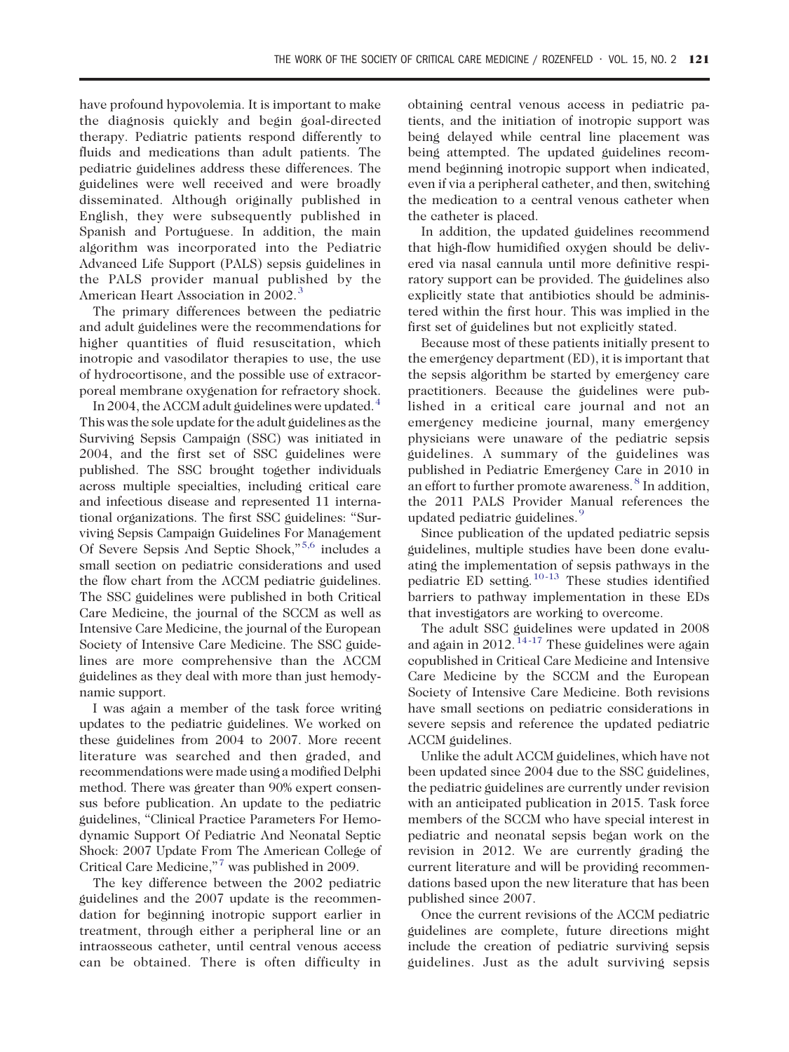have profound hypovolemia. It is important to make the diagnosis quickly and begin goal-directed therapy. Pediatric patients respond differently to fluids and medications than adult patients. The pediatric guidelines address these differences. The guidelines were well received and were broadly disseminated. Although originally published in English, they were subsequently published in Spanish and Portuguese. In addition, the main algorithm was incorporated into the Pediatric Advanced Life Support (PALS) sepsis guidelines in the PALS provider manual published by the American Heart Association in 2002[.](#page-2-0)<sup>[3](#page-2-0)</sup>

The primary differences between the pediatric and adult guidelines were the recommendations for higher quantities of fluid resuscitation, which inotropic and vasodilator therapies to use, the use of hydrocortisone, and the possible use of extracorporeal membrane oxygenation for refractory shock.

In 2004, the ACCM adult guidelines were updated[.](#page-2-0) $4$ This was the sole update for the adult guidelines as the Surviving Sepsis Campaign (SSC) was initiated in 2004, and the first set of SSC guidelines were published. The SSC brought together individuals across multiple specialties, including critical care and infectious disease and represented 11 international organizations. The first SSC guidelines: "Surviving Sepsis Campaign Guidelines For Management Of Severe Sepsis And Septic Shock,["](#page-2-0)[5,6](#page-2-0) includes a small section on pediatric considerations and used the flow chart from the ACCM pediatric guidelines. The SSC guidelines were published in both Critical Care Medicine, the journal of the SCCM as well as Intensive Care Medicine, the journal of the European Society of Intensive Care Medicine. The SSC guidelines are more comprehensive than the ACCM guidelines as they deal with more than just hemodynamic support.

I was again a member of the task force writing updates to the pediatric guidelines. We worked on these guidelines from 2004 to 2007. More recent literature was searched and then graded, and recommendations were made using a modified Delphi method. There was greater than 90% expert consensus before publication. An update to the pediatric guidelines, "Clinical Practice Parameters For Hemodynamic Support Of Pediatric And Neonatal Septic Shock: 2007 Update From The American College of Critical Care Medicine,["](#page-2-0)[7](#page-2-0) was published in 2009.

The key difference between the 2002 pediatric guidelines and the 2007 update is the recommendation for beginning inotropic support earlier in treatment, through either a peripheral line or an intraosseous catheter, until central venous access can be obtained. There is often difficulty in obtaining central venous access in pediatric patients, and the initiation of inotropic support was being delayed while central line placement was being attempted. The updated guidelines recommend beginning inotropic support when indicated, even if via a peripheral catheter, and then, switching the medication to a central venous catheter when the catheter is placed.

In addition, the updated guidelines recommend that high-flow humidified oxygen should be delivered via nasal cannula until more definitive respiratory support can be provided. The guidelines also explicitly state that antibiotics should be administered within the first hour. This was implied in the first set of guidelines but not explicitly stated.

Because most of these patients initially present to the emergency department (ED), it is important that the sepsis algorithm be started by emergency care practitioners. Because the guidelines were published in a critical care journal and not an emergency medicine journal, many emergency physicians were unaware of the pediatric sepsis guidelines. A summary of the guidelines was published in Pediatric Emergency Care in 2010 in an effort to further promote awareness[.](#page-2-0)<sup>[8](#page-2-0)</sup> In addition, the 2011 PALS Provider Manual references the updated pediatric guidelines[.](#page-2-0)<sup>[9](#page-2-0)</sup>

Since publication of the updated pediatric sepsis guidelines, multiple studies have been done evaluating the implementation of sepsis pathways in the pediatric  $ED$  setting[.](#page-2-0)<sup>10-13</sup> These studies identified barriers to pathway implementation in these EDs that investigators are working to overcome.

The adult SSC guidelines were updated in 2008 and again in  $2012$ [.](#page-2-0)<sup>14-17</sup> These guidelines were again copublished in Critical Care Medicine and Intensive Care Medicine by the SCCM and the European Society of Intensive Care Medicine. Both revisions have small sections on pediatric considerations in severe sepsis and reference the updated pediatric ACCM guidelines.

Unlike the adult ACCM guidelines, which have not been updated since 2004 due to the SSC guidelines, the pediatric guidelines are currently under revision with an anticipated publication in 2015. Task force members of the SCCM who have special interest in pediatric and neonatal sepsis began work on the revision in 2012. We are currently grading the current literature and will be providing recommendations based upon the new literature that has been published since 2007.

Once the current revisions of the ACCM pediatric guidelines are complete, future directions might include the creation of pediatric surviving sepsis guidelines. Just as the adult surviving sepsis